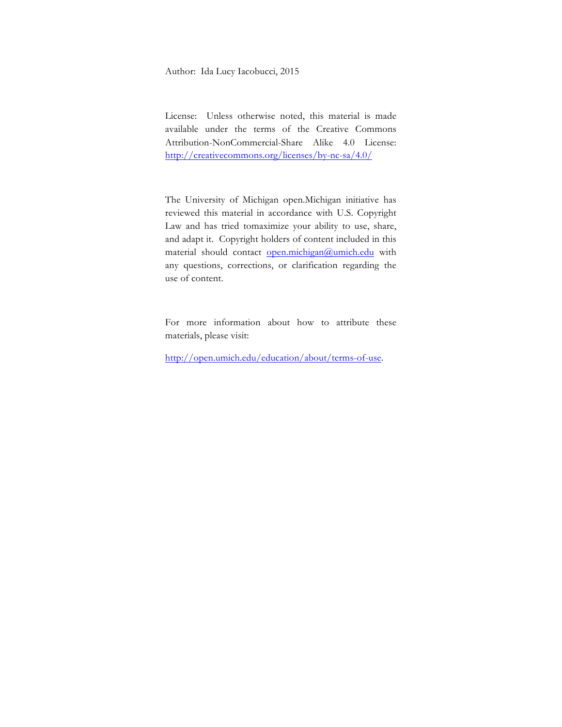Author: Ida Lucy Iacobucci, 2015

License: Unless otherwise noted, this material is made available under the terms of the Creative Commons Attribution-NonCommercial-Share Alike 4.0 License: http://creativecommons.org/licenses/by-nc-sa/4.0/

The University of Michigan open.Michigan initiative has reviewed this material in accordance with U.S. Copyright Law and has tried tomaximize your ability to use, share, and adapt it. Copyright holders of content included in this material should contact open.michigan@umich.edu with any questions, corrections, or clarification regarding the use of content.

For more information about how to attribute these materials, please visit:

http://open.umich.edu/education/about/terms-of-use.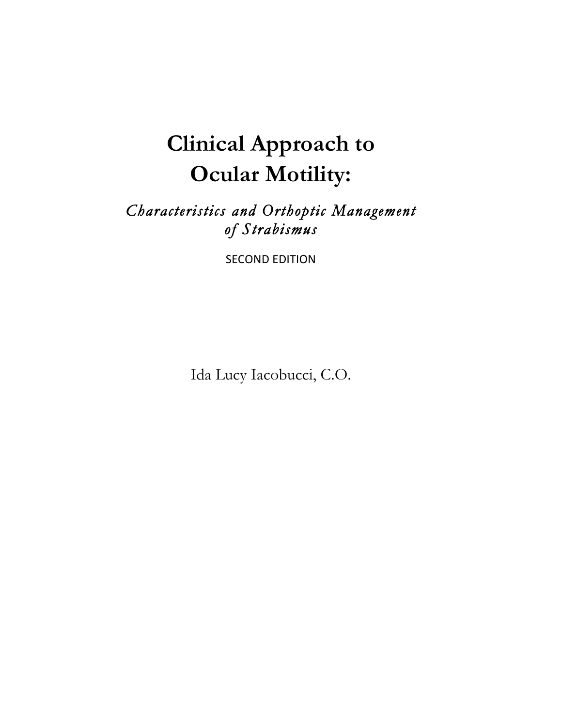# **Clinical Approach to Ocular Motility:**

# *Characteristics and Orthoptic Management of Strabismus*

**SECOND EDITION** 

Ida Lucy Iacobucci, C.O.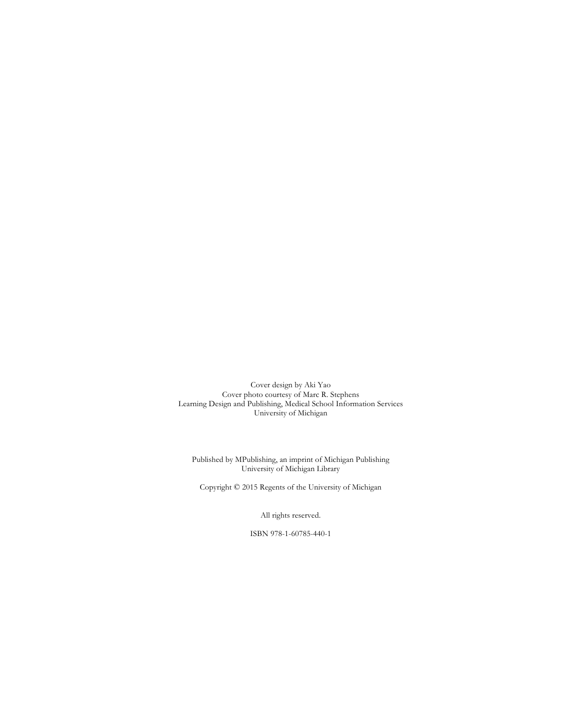Cover design by Aki Yao Cover photo courtesy of Marc R. Stephens Learning Design and Publishing, Medical School Information Services University of Michigan

Published by MPublishing, an imprint of Michigan Publishing University of Michigan Library

Copyright © 2015 Regents of the University of Michigan

All rights reserved.

ISBN 978-1-60785-440-1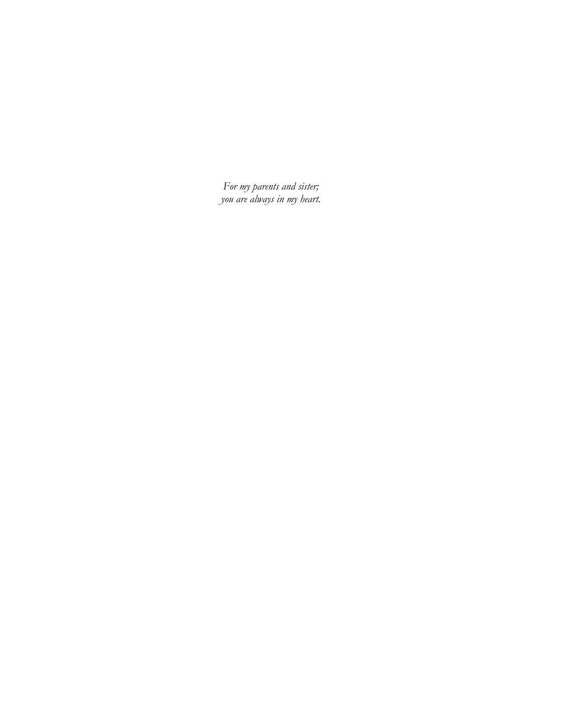*For my parents and sister; you are always in my heart.*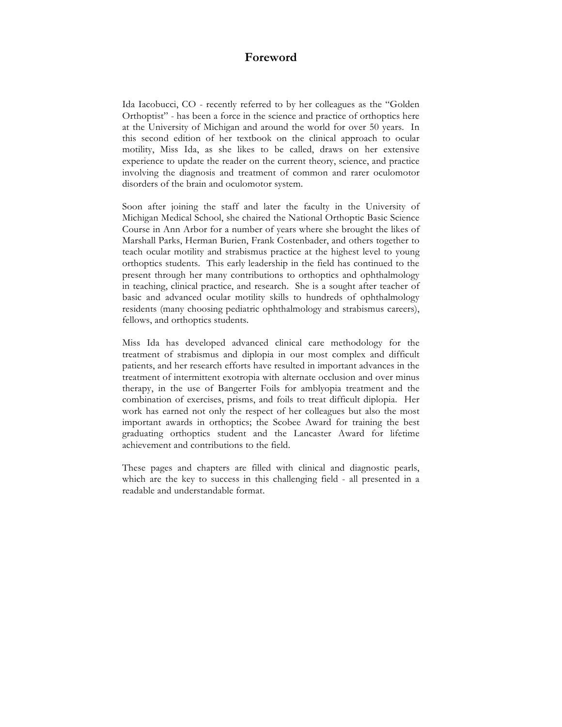#### **Foreword**

Ida Iacobucci, CO - recently referred to by her colleagues as the "Golden Orthoptist" - has been a force in the science and practice of orthoptics here at the University of Michigan and around the world for over 50 years. In this second edition of her textbook on the clinical approach to ocular motility, Miss Ida, as she likes to be called, draws on her extensive experience to update the reader on the current theory, science, and practice involving the diagnosis and treatment of common and rarer oculomotor disorders of the brain and oculomotor system.

Soon after joining the staff and later the faculty in the University of Michigan Medical School, she chaired the National Orthoptic Basic Science Course in Ann Arbor for a number of years where she brought the likes of Marshall Parks, Herman Burien, Frank Costenbader, and others together to teach ocular motility and strabismus practice at the highest level to young orthoptics students. This early leadership in the field has continued to the present through her many contributions to orthoptics and ophthalmology in teaching, clinical practice, and research. She is a sought after teacher of basic and advanced ocular motility skills to hundreds of ophthalmology residents (many choosing pediatric ophthalmology and strabismus careers), fellows, and orthoptics students.

Miss Ida has developed advanced clinical care methodology for the treatment of strabismus and diplopia in our most complex and difficult patients, and her research efforts have resulted in important advances in the treatment of intermittent exotropia with alternate occlusion and over minus therapy, in the use of Bangerter Foils for amblyopia treatment and the combination of exercises, prisms, and foils to treat difficult diplopia. Her work has earned not only the respect of her colleagues but also the most important awards in orthoptics; the Scobee Award for training the best graduating orthoptics student and the Lancaster Award for lifetime achievement and contributions to the field.

These pages and chapters are filled with clinical and diagnostic pearls, which are the key to success in this challenging field - all presented in a readable and understandable format.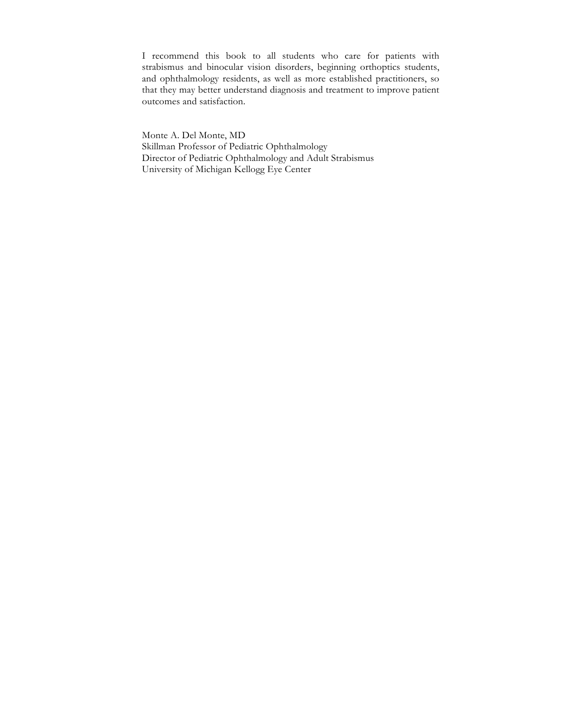I recommend this book to all students who care for patients with strabismus and binocular vision disorders, beginning orthoptics students, and ophthalmology residents, as well as more established practitioners, so that they may better understand diagnosis and treatment to improve patient outcomes and satisfaction.

Monte A. Del Monte, MD Skillman Professor of Pediatric Ophthalmology Director of Pediatric Ophthalmology and Adult Strabismus University of Michigan Kellogg Eye Center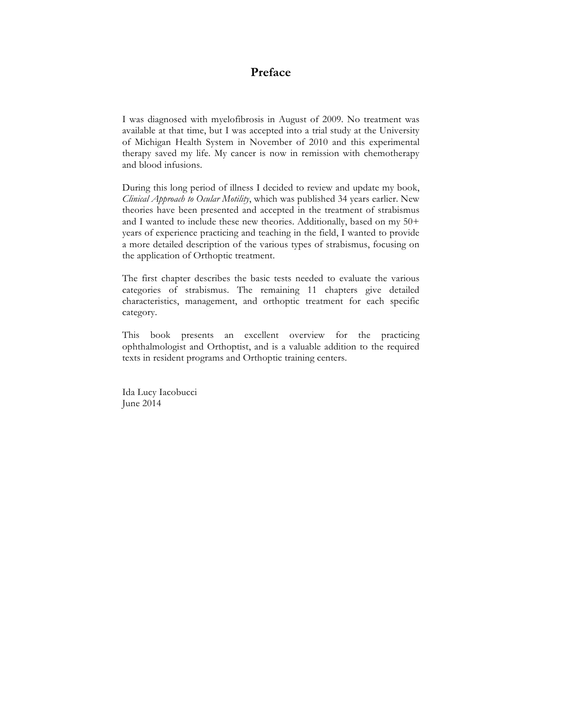## **Preface**

I was diagnosed with myelofibrosis in August of 2009. No treatment was available at that time, but I was accepted into a trial study at the University of Michigan Health System in November of 2010 and this experimental therapy saved my life. My cancer is now in remission with chemotherapy and blood infusions.

During this long period of illness I decided to review and update my book, *Clinical Approach to Ocular Motility*, which was published 34 years earlier. New theories have been presented and accepted in the treatment of strabismus and I wanted to include these new theories. Additionally, based on my 50+ years of experience practicing and teaching in the field, I wanted to provide a more detailed description of the various types of strabismus, focusing on the application of Orthoptic treatment.

The first chapter describes the basic tests needed to evaluate the various categories of strabismus. The remaining 11 chapters give detailed characteristics, management, and orthoptic treatment for each specific category.

This book presents an excellent overview for the practicing ophthalmologist and Orthoptist, and is a valuable addition to the required texts in resident programs and Orthoptic training centers.

Ida Lucy Iacobucci June 2014